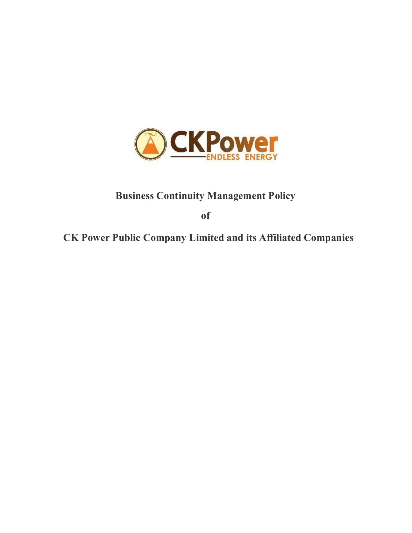

# Business Continuity Management Policy

of

CK Power Public Company Limited and its Affiliated Companies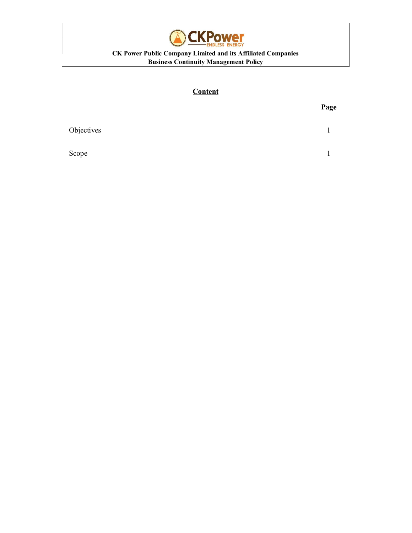

#### CK Power Public Company Limited and its Affiliated Companies Business Continuity Management Policy

## **Content**

|            | Page |
|------------|------|
| Objectives |      |
| Scope      |      |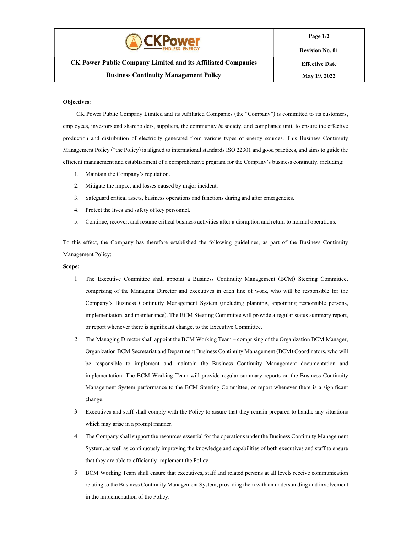

Page 1/2

### CK Power Public Company Limited and its Affiliated Companies Business Continuity Management Policy

Revision No. 01

Effective Date May 19, 2022

#### Objectives:

CK Power Public Company Limited and its Affiliated Companies (the "Company") is committed to its customers, employees, investors and shareholders, suppliers, the community  $\&$  society, and compliance unit, to ensure the effective production and distribution of electricity generated from various types of energy sources. This Business Continuity Management Policy ("the Policy) is aligned to international standards ISO 22301 and good practices, and aims to guide the efficient management and establishment of a comprehensive program for the Company's business continuity, including:

- 1. Maintain the Company's reputation.
- 2. Mitigate the impact and losses caused by major incident.
- 3. Safeguard critical assets, business operations and functions during and after emergencies.
- 4. Protect the lives and safety of key personnel.
- 5. Continue, recover, and resume critical business activities after a disruption and return to normal operations.

To this effect, the Company has therefore established the following guidelines, as part of the Business Continuity Management Policy:

#### Scope:

- 1. The Executive Committee shall appoint a Business Continuity Management (BCM) Steering Committee, comprising of the Managing Director and executives in each line of work, who will be responsible for the Company's Business Continuity Management System (including planning, appointing responsible persons, implementation, and maintenance). The BCM Steering Committee will provide a regular status summary report, or report whenever there is significant change, to the Executive Committee.
- 2. The Managing Director shall appoint the BCM Working Team comprising of the Organization BCM Manager, Organization BCM Secretariat and Department Business Continuity Management (BCM) Coordinators, who will be responsible to implement and maintain the Business Continuity Management documentation and implementation. The BCM Working Team will provide regular summary reports on the Business Continuity Management System performance to the BCM Steering Committee, or report whenever there is a significant change.
- 3. Executives and staff shall comply with the Policy to assure that they remain prepared to handle any situations which may arise in a prompt manner.
- 4. The Company shall support the resources essential for the operations under the Business Continuity Management System, as well as continuously improving the knowledge and capabilities of both executives and staff to ensure that they are able to efficiently implement the Policy.
- 5. BCM Working Team shall ensure that executives, staff and related persons at all levels receive communication relating to the Business Continuity Management System, providing them with an understanding and involvement in the implementation of the Policy.